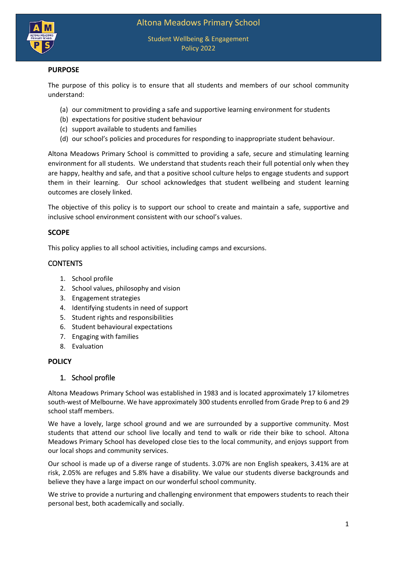

Student Wellbeing & Engagement Policy 2022

# **PURPOSE**

The purpose of this policy is to ensure that all students and members of our school community understand:

- (a) our commitment to providing a safe and supportive learning environment for students
- (b) expectations for positive student behaviour
- (c) support available to students and families
- (d) our school's policies and procedures for responding to inappropriate student behaviour.

Altona Meadows Primary School is committed to providing a safe, secure and stimulating learning environment for all students. We understand that students reach their full potential only when they are happy, healthy and safe, and that a positive school culture helps to engage students and support them in their learning. Our school acknowledges that student wellbeing and student learning outcomes are closely linked.

The objective of this policy is to support our school to create and maintain a safe, supportive and inclusive school environment consistent with our school's values.

#### **SCOPE**

This policy applies to all school activities, including camps and excursions.

# **CONTENTS**

- 1. School profile
- 2. School values, philosophy and vision
- 3. Engagement strategies
- 4. Identifying students in need of support
- 5. Student rights and responsibilities
- 6. Student behavioural expectations
- 7. Engaging with families
- 8. Evaluation

#### **POLICY**

#### 1. School profile

Altona Meadows Primary School was established in 1983 and is located approximately 17 kilometres south-west of Melbourne. We have approximately 300 students enrolled from Grade Prep to 6 and 29 school staff members.

We have a lovely, large school ground and we are surrounded by a supportive community. Most students that attend our school live locally and tend to walk or ride their bike to school. Altona Meadows Primary School has developed close ties to the local community, and enjoys support from our local shops and community services.

Our school is made up of a diverse range of students. 3.07% are non English speakers, 3.41% are at risk, 2.05% are refuges and 5.8% have a disability. We value our students diverse backgrounds and believe they have a large impact on our wonderful school community.

We strive to provide a nurturing and challenging environment that empowers students to reach their personal best, both academically and socially.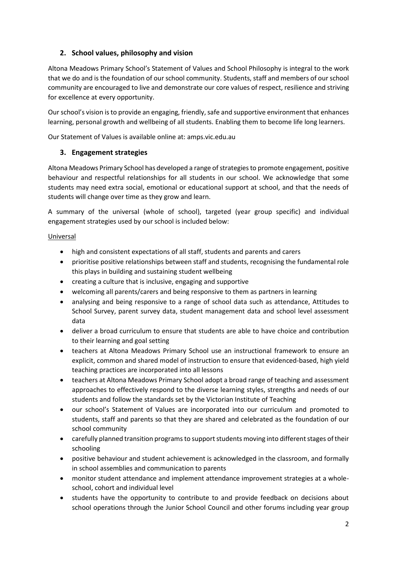# **2. School values, philosophy and vision**

Altona Meadows Primary School's Statement of Values and School Philosophy is integral to the work that we do and is the foundation of our school community. Students, staff and members of our school community are encouraged to live and demonstrate our core values of respect, resilience and striving for excellence at every opportunity.

Ourschool's vision is to provide an engaging, friendly, safe and supportive environment that enhances learning, personal growth and wellbeing of all students. Enabling them to become life long learners.

Our Statement of Values is available online at: amps.vic.edu.au

# **3. Engagement strategies**

Altona Meadows Primary School has developed a range of strategies to promote engagement, positive behaviour and respectful relationships for all students in our school. We acknowledge that some students may need extra social, emotional or educational support at school, and that the needs of students will change over time as they grow and learn.

A summary of the universal (whole of school), targeted (year group specific) and individual engagement strategies used by our school is included below:

#### Universal

- high and consistent expectations of all staff, students and parents and carers
- prioritise positive relationships between staff and students, recognising the fundamental role this plays in building and sustaining student wellbeing
- creating a culture that is inclusive, engaging and supportive
- welcoming all parents/carers and being responsive to them as partners in learning
- analysing and being responsive to a range of school data such as attendance, Attitudes to School Survey, parent survey data, student management data and school level assessment data
- deliver a broad curriculum to ensure that students are able to have choice and contribution to their learning and goal setting
- teachers at Altona Meadows Primary School use an instructional framework to ensure an explicit, common and shared model of instruction to ensure that evidenced-based, high yield teaching practices are incorporated into all lessons
- teachers at Altona Meadows Primary School adopt a broad range of teaching and assessment approaches to effectively respond to the diverse learning styles, strengths and needs of our students and follow the standards set by the Victorian Institute of Teaching
- our school's Statement of Values are incorporated into our curriculum and promoted to students, staff and parents so that they are shared and celebrated as the foundation of our school community
- carefully planned transition programs to support students moving into different stages of their schooling
- positive behaviour and student achievement is acknowledged in the classroom, and formally in school assemblies and communication to parents
- monitor student attendance and implement attendance improvement strategies at a wholeschool, cohort and individual level
- students have the opportunity to contribute to and provide feedback on decisions about school operations through the Junior School Council and other forums including year group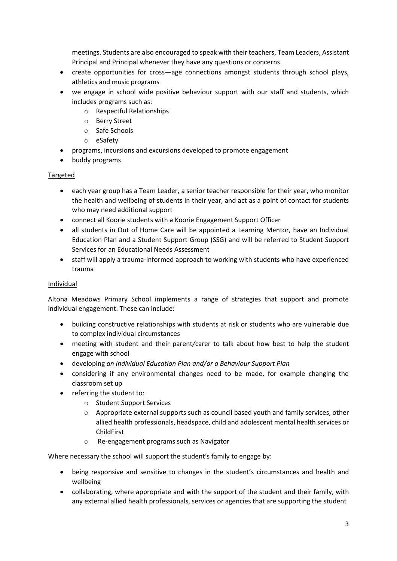meetings. Students are also encouraged to speak with their teachers, Team Leaders, Assistant Principal and Principal whenever they have any questions or concerns.

- create opportunities for cross—age connections amongst students through school plays, athletics and music programs
- we engage in school wide positive behaviour support with our staff and students, which includes programs such as:
	- o Respectful Relationships
	- o Berry Street
	- o Safe Schools
	- o eSafety
- programs, incursions and excursions developed to promote engagement
- buddy programs

#### Targeted

- each year group has a Team Leader, a senior teacher responsible for their year, who monitor the health and wellbeing of students in their year, and act as a point of contact for students who may need additional support
- connect all Koorie students with a Koorie Engagement Support Officer
- all students in Out of Home Care will be appointed a Learning Mentor, have an Individual Education Plan and a Student Support Group (SSG) and will be referred to Student Support Services for an Educational Needs Assessment
- staff will apply a trauma-informed approach to working with students who have experienced trauma

#### Individual

Altona Meadows Primary School implements a range of strategies that support and promote individual engagement. These can include:

- building constructive relationships with students at risk or students who are vulnerable due to complex individual circumstances
- meeting with student and their parent*/*carer to talk about how best to help the student engage with school
- developing *an Individual Education Plan and/or a Behaviour Support Plan*
- considering if any environmental changes need to be made, for example changing the classroom set up
- referring the student to:
	- o Student Support Services
	- $\circ$  Appropriate external supports such as council based youth and family services, other allied health professionals, headspace, child and adolescent mental health services or ChildFirst
	- o Re-engagement programs such as Navigator

Where necessary the school will support the student's family to engage by:

- being responsive and sensitive to changes in the student's circumstances and health and wellbeing
- collaborating, where appropriate and with the support of the student and their family, with any external allied health professionals, services or agencies that are supporting the student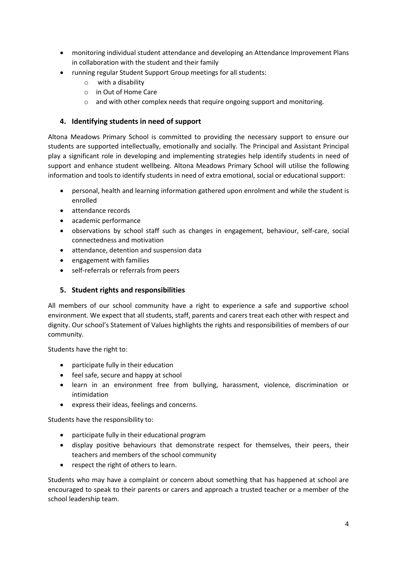- monitoring individual student attendance and developing an Attendance Improvement Plans in collaboration with the student and their family
- running regular Student Support Group meetings for all students:
	- o with a disability
	- o in Out of Home Care
	- o and with other complex needs that require ongoing support and monitoring.

### **4. Identifying students in need of support**

Altona Meadows Primary School is committed to providing the necessary support to ensure our students are supported intellectually, emotionally and socially. The Principal and Assistant Principal play a significant role in developing and implementing strategies help identify students in need of support and enhance student wellbeing. Altona Meadows Primary School will utilise the following information and tools to identify students in need of extra emotional, social or educational support:

- personal, health and learning information gathered upon enrolment and while the student is enrolled
- attendance records
- academic performance
- observations by school staff such as changes in engagement, behaviour, self-care, social connectedness and motivation
- attendance, detention and suspension data
- engagement with families
- self-referrals or referrals from peers

#### **5. Student rights and responsibilities**

All members of our school community have a right to experience a safe and supportive school environment. We expect that all students, staff, parents and carers treat each other with respect and dignity. Our school's Statement of Values highlights the rights and responsibilities of members of our community.

Students have the right to:

- participate fully in their education
- feel safe, secure and happy at school
- learn in an environment free from bullying, harassment, violence, discrimination or intimidation
- express their ideas, feelings and concerns.

Students have the responsibility to:

- participate fully in their educational program
- display positive behaviours that demonstrate respect for themselves, their peers, their teachers and members of the school community
- respect the right of others to learn.

Students who may have a complaint or concern about something that has happened at school are encouraged to speak to their parents or carers and approach a trusted teacher or a member of the school leadership team.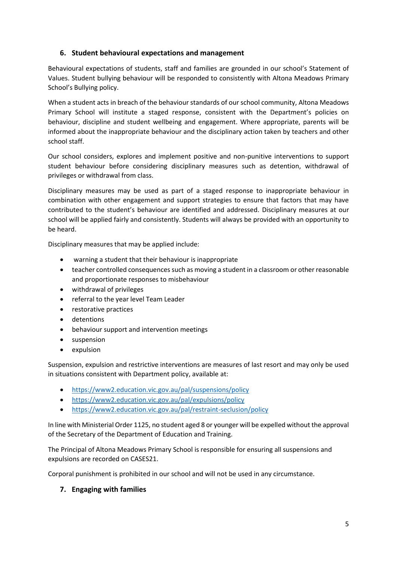# **6. Student behavioural expectations and management**

Behavioural expectations of students, staff and families are grounded in our school's Statement of Values. Student bullying behaviour will be responded to consistently with Altona Meadows Primary School's Bullying policy.

When a student acts in breach of the behaviour standards of our school community, Altona Meadows Primary School will institute a staged response, consistent with the Department's policies on behaviour, discipline and student wellbeing and engagement. Where appropriate, parents will be informed about the inappropriate behaviour and the disciplinary action taken by teachers and other school staff.

Our school considers, explores and implement positive and non-punitive interventions to support student behaviour before considering disciplinary measures such as detention, withdrawal of privileges or withdrawal from class.

Disciplinary measures may be used as part of a staged response to inappropriate behaviour in combination with other engagement and support strategies to ensure that factors that may have contributed to the student's behaviour are identified and addressed. Disciplinary measures at our school will be applied fairly and consistently. Students will always be provided with an opportunity to be heard.

Disciplinary measures that may be applied include:

- warning a student that their behaviour is inappropriate
- teacher controlled consequences such as moving a student in a classroom or other reasonable and proportionate responses to misbehaviour
- withdrawal of privileges
- referral to the year level Team Leader
- restorative practices
- detentions
- behaviour support and intervention meetings
- **•** suspension
- expulsion

Suspension, expulsion and restrictive interventions are measures of last resort and may only be used in situations consistent with Department policy, available at:

- <https://www2.education.vic.gov.au/pal/suspensions/policy>
- <https://www2.education.vic.gov.au/pal/expulsions/policy>
- <https://www2.education.vic.gov.au/pal/restraint-seclusion/policy>

In line with Ministerial Order 1125, no student aged 8 or younger will be expelled without the approval of the Secretary of the Department of Education and Training.

The Principal of Altona Meadows Primary School is responsible for ensuring all suspensions and expulsions are recorded on CASES21.

Corporal punishment is prohibited in our school and will not be used in any circumstance.

#### **7. Engaging with families**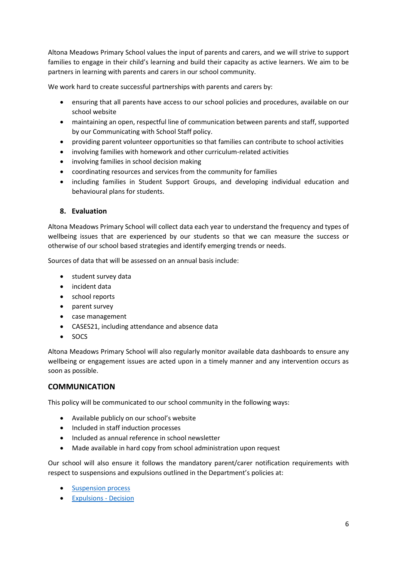Altona Meadows Primary School values the input of parents and carers, and we will strive to support families to engage in their child's learning and build their capacity as active learners. We aim to be partners in learning with parents and carers in our school community.

We work hard to create successful partnerships with parents and carers by:

- ensuring that all parents have access to our school policies and procedures, available on our school website
- maintaining an open, respectful line of communication between parents and staff, supported by our Communicating with School Staff policy.
- providing parent volunteer opportunities so that families can contribute to school activities
- involving families with homework and other curriculum-related activities
- involving families in school decision making
- coordinating resources and services from the community for families
- including families in Student Support Groups, and developing individual education and behavioural plans for students.

#### **8. Evaluation**

Altona Meadows Primary School will collect data each year to understand the frequency and types of wellbeing issues that are experienced by our students so that we can measure the success or otherwise of our school based strategies and identify emerging trends or needs.

Sources of data that will be assessed on an annual basis include:

- student survey data
- incident data
- school reports
- parent survey
- case management
- CASES21, including attendance and absence data
- SOCS

Altona Meadows Primary School will also regularly monitor available data dashboards to ensure any wellbeing or engagement issues are acted upon in a timely manner and any intervention occurs as soon as possible.

# **COMMUNICATION**

This policy will be communicated to our school community in the following ways:

- Available publicly on our school's website
- Included in staff induction processes
- Included as annual reference in school newsletter
- Made available in hard copy from school administration upon request

Our school will also ensure it follows the mandatory parent/carer notification requirements with respect to suspensions and expulsions outlined in the Department's policies at:

- [Suspension process](https://www2.education.vic.gov.au/pal/suspensions/guidance/1-suspension-process)
- [Expulsions -](https://www2.education.vic.gov.au/pal/expulsions/guidance/decision) Decision